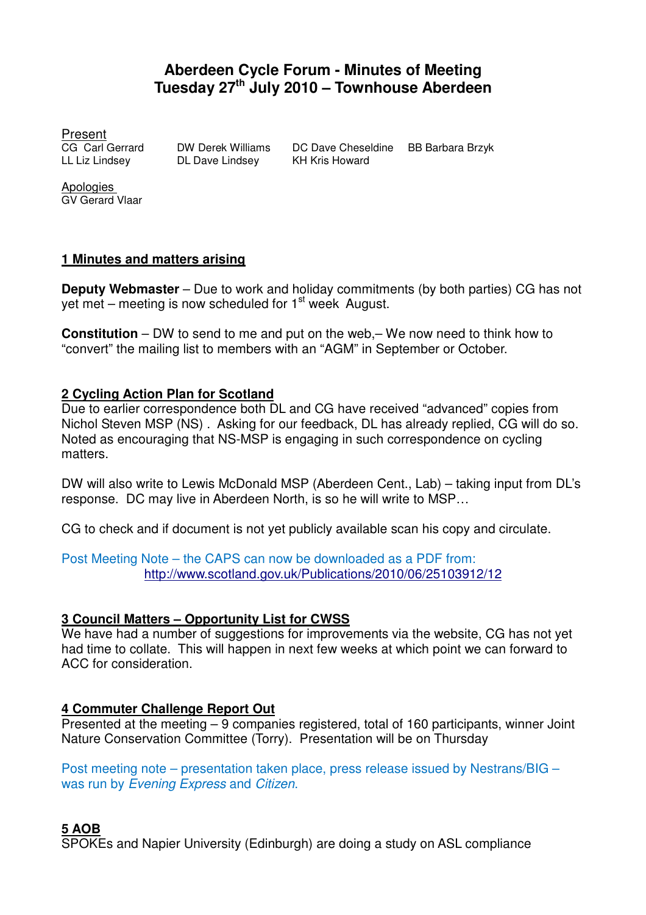# **Aberdeen Cycle Forum - Minutes of Meeting Tuesday 27th July 2010 – Townhouse Aberdeen**

Present

DL Dave Lindsey

CG Carl Gerrard DW Derek Williams DC Dave Cheseldine BB Barbara Brzyk<br>LL Liz Lindsev DL Dave Lindsev KH Kris Howard

**Apologies** GV Gerard Vlaar

### **1 Minutes and matters arising**

**Deputy Webmaster** – Due to work and holiday commitments (by both parties) CG has not vet met – meeting is now scheduled for  $1<sup>st</sup>$  week August.

**Constitution** – DW to send to me and put on the web,– We now need to think how to "convert" the mailing list to members with an "AGM" in September or October.

### **2 Cycling Action Plan for Scotland**

Due to earlier correspondence both DL and CG have received "advanced" copies from Nichol Steven MSP (NS) . Asking for our feedback, DL has already replied, CG will do so. Noted as encouraging that NS-MSP is engaging in such correspondence on cycling matters.

DW will also write to Lewis McDonald MSP (Aberdeen Cent., Lab) – taking input from DL's response. DC may live in Aberdeen North, is so he will write to MSP…

CG to check and if document is not yet publicly available scan his copy and circulate.

Post Meeting Note – the CAPS can now be downloaded as a PDF from: http://www.scotland.gov.uk/Publications/2010/06/25103912/12

### **3 Council Matters – Opportunity List for CWSS**

We have had a number of suggestions for improvements via the website, CG has not yet had time to collate. This will happen in next few weeks at which point we can forward to ACC for consideration.

### **4 Commuter Challenge Report Out**

Presented at the meeting – 9 companies registered, total of 160 participants, winner Joint Nature Conservation Committee (Torry). Presentation will be on Thursday

Post meeting note – presentation taken place, press release issued by Nestrans/BIG – was run by Evening Express and Citizen.

## **5 AOB**

SPOKEs and Napier University (Edinburgh) are doing a study on ASL compliance